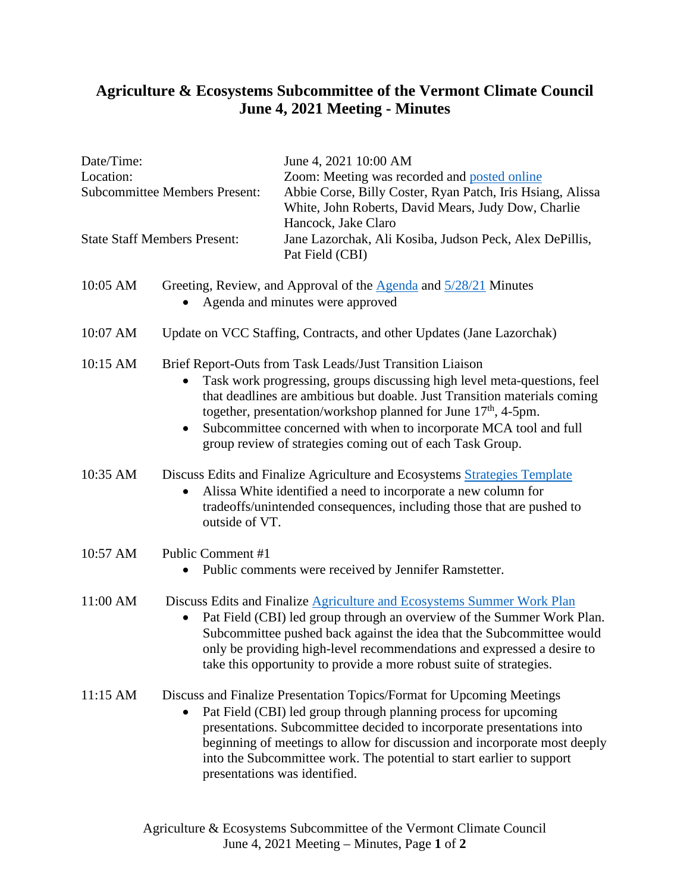## **Agriculture & Ecosystems Subcommittee of the Vermont Climate Council June 4, 2021 Meeting - Minutes**

............................

------

. . . . . . . . . . . . . .

| Date/Time:<br>Location:<br><b>Subcommittee Members Present:</b> |                                                                                                                                                                                                                                                                                                                                                                                                                                    | June 4, 2021 10:00 AM<br>Zoom: Meeting was recorded and posted online<br>Abbie Corse, Billy Coster, Ryan Patch, Iris Hsiang, Alissa<br>White, John Roberts, David Mears, Judy Dow, Charlie                                                                                                                                                                                                               |  |
|-----------------------------------------------------------------|------------------------------------------------------------------------------------------------------------------------------------------------------------------------------------------------------------------------------------------------------------------------------------------------------------------------------------------------------------------------------------------------------------------------------------|----------------------------------------------------------------------------------------------------------------------------------------------------------------------------------------------------------------------------------------------------------------------------------------------------------------------------------------------------------------------------------------------------------|--|
| <b>State Staff Members Present:</b>                             |                                                                                                                                                                                                                                                                                                                                                                                                                                    | Hancock, Jake Claro<br>Jane Lazorchak, Ali Kosiba, Judson Peck, Alex DePillis,<br>Pat Field (CBI)                                                                                                                                                                                                                                                                                                        |  |
| 10:05 AM                                                        | Greeting, Review, and Approval of the Agenda and 5/28/21 Minutes<br>Agenda and minutes were approved                                                                                                                                                                                                                                                                                                                               |                                                                                                                                                                                                                                                                                                                                                                                                          |  |
| 10:07 AM                                                        | Update on VCC Staffing, Contracts, and other Updates (Jane Lazorchak)                                                                                                                                                                                                                                                                                                                                                              |                                                                                                                                                                                                                                                                                                                                                                                                          |  |
| 10:15 AM                                                        | Brief Report-Outs from Task Leads/Just Transition Liaison<br>Task work progressing, groups discussing high level meta-questions, feel<br>that deadlines are ambitious but doable. Just Transition materials coming<br>together, presentation/workshop planned for June 17 <sup>th</sup> , 4-5pm.<br>Subcommittee concerned with when to incorporate MCA tool and full<br>group review of strategies coming out of each Task Group. |                                                                                                                                                                                                                                                                                                                                                                                                          |  |
| 10:35 AM                                                        | Discuss Edits and Finalize Agriculture and Ecosystems Strategies Template<br>Alissa White identified a need to incorporate a new column for<br>tradeoffs/unintended consequences, including those that are pushed to<br>outside of VT.                                                                                                                                                                                             |                                                                                                                                                                                                                                                                                                                                                                                                          |  |
| 10:57 AM                                                        | Public Comment #1<br>Public comments were received by Jennifer Ramstetter.                                                                                                                                                                                                                                                                                                                                                         |                                                                                                                                                                                                                                                                                                                                                                                                          |  |
| 11:00 AM                                                        | Discuss Edits and Finalize Agriculture and Ecosystems Summer Work Plan<br>Pat Field (CBI) led group through an overview of the Summer Work Plan.<br>$\bullet$<br>Subcommittee pushed back against the idea that the Subcommittee would<br>only be providing high-level recommendations and expressed a desire to<br>take this opportunity to provide a more robust suite of strategies.                                            |                                                                                                                                                                                                                                                                                                                                                                                                          |  |
| 11:15 AM                                                        |                                                                                                                                                                                                                                                                                                                                                                                                                                    | Discuss and Finalize Presentation Topics/Format for Upcoming Meetings<br>Pat Field (CBI) led group through planning process for upcoming<br>presentations. Subcommittee decided to incorporate presentations into<br>beginning of meetings to allow for discussion and incorporate most deeply<br>into the Subcommittee work. The potential to start earlier to support<br>presentations was identified. |  |